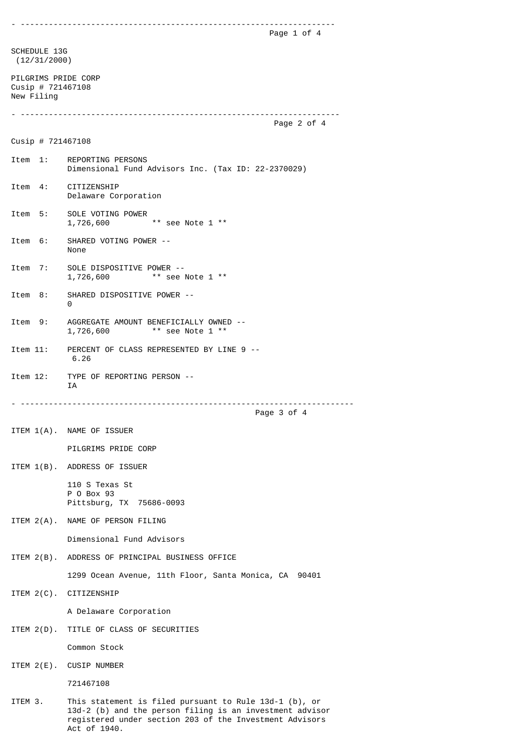|                                                        | Page 1 of 4                                                                                                                                                                                     |  |
|--------------------------------------------------------|-------------------------------------------------------------------------------------------------------------------------------------------------------------------------------------------------|--|
| SCHEDULE 13G<br>(12/31/2000)                           |                                                                                                                                                                                                 |  |
| PILGRIMS PRIDE CORP<br>Cusip # 721467108<br>New Filing |                                                                                                                                                                                                 |  |
|                                                        | Page 2 of 4                                                                                                                                                                                     |  |
| Cusip # $721467108$                                    |                                                                                                                                                                                                 |  |
| Item 1:                                                | REPORTING PERSONS<br>Dimensional Fund Advisors Inc. (Tax ID: 22-2370029)                                                                                                                        |  |
| Item 4:                                                | CITIZENSHIP<br>Delaware Corporation                                                                                                                                                             |  |
| Item 5:                                                | SOLE VOTING POWER<br>** see Note 1 **<br>1,726,600                                                                                                                                              |  |
| Item 6:                                                | SHARED VOTING POWER --<br>None                                                                                                                                                                  |  |
| Item 7:                                                | SOLE DISPOSITIVE POWER --<br>$**$ see Note 1 $**$<br>1,726,600                                                                                                                                  |  |
| Item 8:                                                | SHARED DISPOSITIVE POWER --<br>0                                                                                                                                                                |  |
| Item 9:                                                | AGGREGATE AMOUNT BENEFICIALLY OWNED --<br>** see Note 1 **<br>1,726,600                                                                                                                         |  |
| Item 11:                                               | PERCENT OF CLASS REPRESENTED BY LINE 9 --<br>6.26                                                                                                                                               |  |
| Item 12:                                               | TYPE OF REPORTING PERSON --<br>ΙA                                                                                                                                                               |  |
|                                                        | Page 3 of 4                                                                                                                                                                                     |  |
|                                                        | ITEM 1(A). NAME OF ISSUER                                                                                                                                                                       |  |
|                                                        | PILGRIMS PRIDE CORP                                                                                                                                                                             |  |
|                                                        | ITEM 1(B). ADDRESS OF ISSUER                                                                                                                                                                    |  |
|                                                        | 110 S Texas St<br>P 0 Box 93<br>Pittsburg, TX 75686-0093                                                                                                                                        |  |
|                                                        | ITEM 2(A). NAME OF PERSON FILING                                                                                                                                                                |  |
|                                                        | Dimensional Fund Advisors                                                                                                                                                                       |  |
|                                                        | ITEM 2(B). ADDRESS OF PRINCIPAL BUSINESS OFFICE                                                                                                                                                 |  |
|                                                        | 1299 Ocean Avenue, 11th Floor, Santa Monica, CA 90401                                                                                                                                           |  |
|                                                        | ITEM 2(C). CITIZENSHIP                                                                                                                                                                          |  |
|                                                        | A Delaware Corporation                                                                                                                                                                          |  |
|                                                        | ITEM 2(D). TITLE OF CLASS OF SECURITIES                                                                                                                                                         |  |
|                                                        | Common Stock                                                                                                                                                                                    |  |
|                                                        | ITEM 2(E). CUSIP NUMBER                                                                                                                                                                         |  |
|                                                        | 721467108                                                                                                                                                                                       |  |
| ITEM 3.                                                | This statement is filed pursuant to Rule $13d-1$ (b), or<br>13d-2 (b) and the person filing is an investment advisor<br>registered under section 203 of the Investment Advisors<br>Act of 1940. |  |